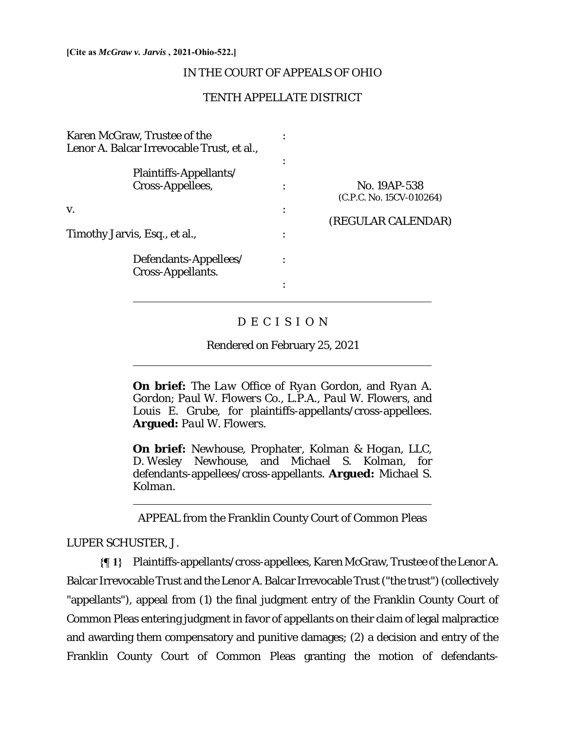#### **[Cite as** *McGraw v. Jarvis* **, 2021-Ohio-522.]**

## IN THE COURT OF APPEALS OF OHIO

## TENTH APPELLATE DISTRICT

| Karen McGraw, Trustee of the<br>Lenor A. Balcar Irrevocable Trust, et al., |                                            |                                          |
|----------------------------------------------------------------------------|--------------------------------------------|------------------------------------------|
|                                                                            | Plaintiffs-Appellants/<br>Cross-Appellees, | No. 19AP-538<br>(C.P.C. No. 15CV-010264) |
| V.                                                                         |                                            | (REGULAR CALENDAR)                       |
| Timothy Jarvis, Esq., et al.,                                              |                                            |                                          |
|                                                                            | Defendants-Appellees/<br>Cross-Appellants. |                                          |
|                                                                            |                                            |                                          |

## D E C I S I O N

Rendered on February 25, 2021

**On brief:** *The Law Office of Ryan Gordon,* and *Ryan A. Gordon*; *Paul W. Flowers Co., L.P.A., Paul W. Flowers,* and *Louis E. Grube*, for plaintiffs-appellants/cross-appellees. **Argued:** *Paul W. Flowers.*

**On brief:** *Newhouse, Prophater, Kolman & Hogan, LLC, D. Wesley Newhouse*, and *Michael S. Kolman*, for defendants-appellees/cross-appellants. **Argued:** *Michael S. Kolman.*

APPEAL from the Franklin County Court of Common Pleas

LUPER SCHUSTER, J.

 $\overline{a}$ 

 $\overline{a}$ 

**{¶ 1}** Plaintiffs-appellants/cross-appellees, Karen McGraw, Trustee of the Lenor A. Balcar Irrevocable Trust and the Lenor A. Balcar Irrevocable Trust ("the trust") (collectively "appellants"), appeal from (1) the final judgment entry of the Franklin County Court of Common Pleas entering judgment in favor of appellants on their claim of legal malpractice and awarding them compensatory and punitive damages; (2) a decision and entry of the Franklin County Court of Common Pleas granting the motion of defendants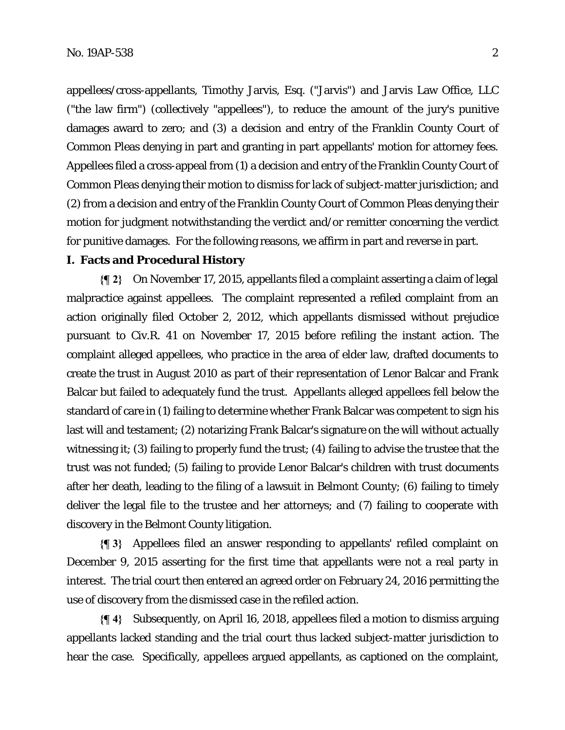appellees/cross-appellants, Timothy Jarvis, Esq. ("Jarvis") and Jarvis Law Office, LLC ("the law firm") (collectively "appellees"), to reduce the amount of the jury's punitive damages award to zero; and (3) a decision and entry of the Franklin County Court of Common Pleas denying in part and granting in part appellants' motion for attorney fees. Appellees filed a cross-appeal from (1) a decision and entry of the Franklin County Court of Common Pleas denying their motion to dismiss for lack of subject-matter jurisdiction; and (2) from a decision and entry of the Franklin County Court of Common Pleas denying their motion for judgment notwithstanding the verdict and/or remitter concerning the verdict for punitive damages. For the following reasons, we affirm in part and reverse in part.

## **I. Facts and Procedural History**

**{¶ 2}** On November 17, 2015, appellants filed a complaint asserting a claim of legal malpractice against appellees. The complaint represented a refiled complaint from an action originally filed October 2, 2012, which appellants dismissed without prejudice pursuant to Civ.R. 41 on November 17, 2015 before refiling the instant action. The complaint alleged appellees, who practice in the area of elder law, drafted documents to create the trust in August 2010 as part of their representation of Lenor Balcar and Frank Balcar but failed to adequately fund the trust. Appellants alleged appellees fell below the standard of care in (1) failing to determine whether Frank Balcar was competent to sign his last will and testament; (2) notarizing Frank Balcar's signature on the will without actually witnessing it; (3) failing to properly fund the trust; (4) failing to advise the trustee that the trust was not funded; (5) failing to provide Lenor Balcar's children with trust documents after her death, leading to the filing of a lawsuit in Belmont County; (6) failing to timely deliver the legal file to the trustee and her attorneys; and (7) failing to cooperate with discovery in the Belmont County litigation.

**{¶ 3}** Appellees filed an answer responding to appellants' refiled complaint on December 9, 2015 asserting for the first time that appellants were not a real party in interest. The trial court then entered an agreed order on February 24, 2016 permitting the use of discovery from the dismissed case in the refiled action.

**{¶ 4}** Subsequently, on April 16, 2018, appellees filed a motion to dismiss arguing appellants lacked standing and the trial court thus lacked subject-matter jurisdiction to hear the case. Specifically, appellees argued appellants, as captioned on the complaint,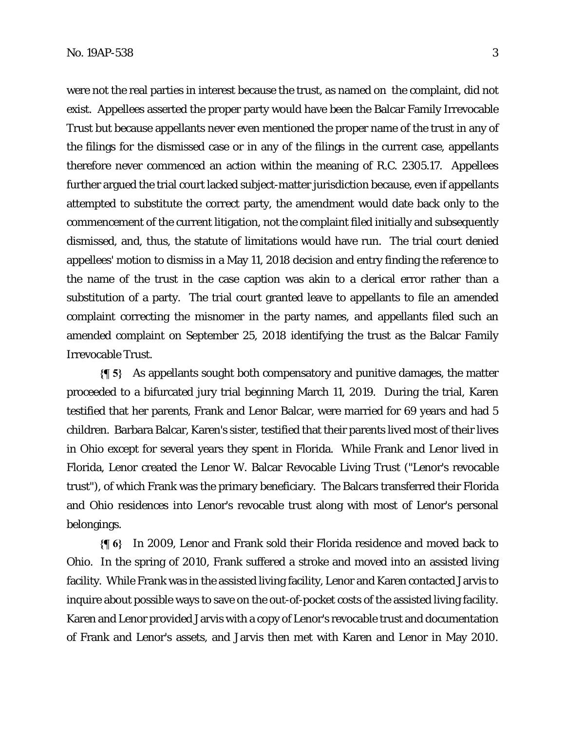were not the real parties in interest because the trust, as named on the complaint, did not exist. Appellees asserted the proper party would have been the Balcar Family Irrevocable Trust but because appellants never even mentioned the proper name of the trust in any of the filings for the dismissed case or in any of the filings in the current case, appellants therefore never commenced an action within the meaning of R.C. 2305.17. Appellees further argued the trial court lacked subject-matter jurisdiction because, even if appellants attempted to substitute the correct party, the amendment would date back only to the commencement of the current litigation, not the complaint filed initially and subsequently dismissed, and, thus, the statute of limitations would have run. The trial court denied appellees' motion to dismiss in a May 11, 2018 decision and entry finding the reference to the name of the trust in the case caption was akin to a clerical error rather than a substitution of a party. The trial court granted leave to appellants to file an amended complaint correcting the misnomer in the party names, and appellants filed such an amended complaint on September 25, 2018 identifying the trust as the Balcar Family Irrevocable Trust.

**{¶ 5}** As appellants sought both compensatory and punitive damages, the matter proceeded to a bifurcated jury trial beginning March 11, 2019. During the trial, Karen testified that her parents, Frank and Lenor Balcar, were married for 69 years and had 5 children. Barbara Balcar, Karen's sister, testified that their parents lived most of their lives in Ohio except for several years they spent in Florida. While Frank and Lenor lived in Florida, Lenor created the Lenor W. Balcar Revocable Living Trust ("Lenor's revocable trust"), of which Frank was the primary beneficiary. The Balcars transferred their Florida and Ohio residences into Lenor's revocable trust along with most of Lenor's personal belongings.

**{¶ 6}** In 2009, Lenor and Frank sold their Florida residence and moved back to Ohio. In the spring of 2010, Frank suffered a stroke and moved into an assisted living facility. While Frank was in the assisted living facility, Lenor and Karen contacted Jarvis to inquire about possible ways to save on the out-of-pocket costs of the assisted living facility. Karen and Lenor provided Jarvis with a copy of Lenor's revocable trust and documentation of Frank and Lenor's assets, and Jarvis then met with Karen and Lenor in May 2010.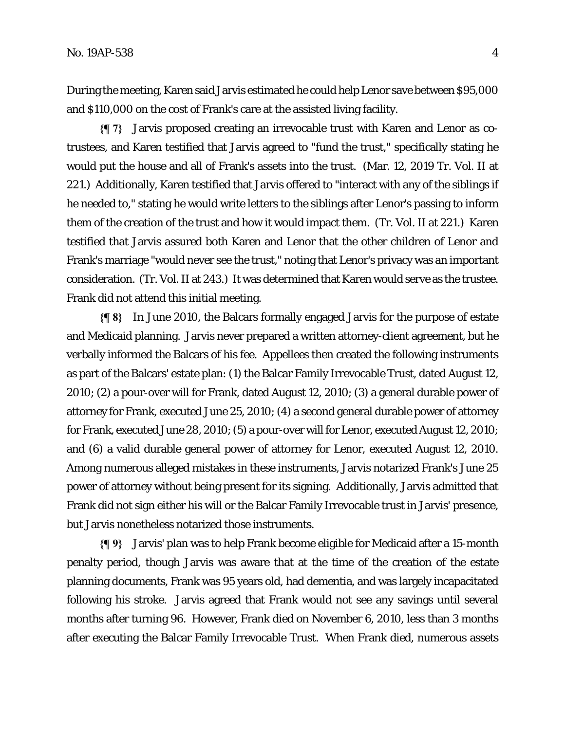During the meeting, Karen said Jarvis estimated he could help Lenor save between \$95,000 and \$110,000 on the cost of Frank's care at the assisted living facility.

**{¶ 7}** Jarvis proposed creating an irrevocable trust with Karen and Lenor as cotrustees, and Karen testified that Jarvis agreed to "fund the trust," specifically stating he would put the house and all of Frank's assets into the trust. (Mar. 12, 2019 Tr. Vol. II at 221.) Additionally, Karen testified that Jarvis offered to "interact with any of the siblings if he needed to," stating he would write letters to the siblings after Lenor's passing to inform them of the creation of the trust and how it would impact them. (Tr. Vol. II at 221.) Karen testified that Jarvis assured both Karen and Lenor that the other children of Lenor and Frank's marriage "would never see the trust," noting that Lenor's privacy was an important consideration. (Tr. Vol. II at 243.) It was determined that Karen would serve as the trustee. Frank did not attend this initial meeting.

**{¶ 8}** In June 2010, the Balcars formally engaged Jarvis for the purpose of estate and Medicaid planning. Jarvis never prepared a written attorney-client agreement, but he verbally informed the Balcars of his fee. Appellees then created the following instruments as part of the Balcars' estate plan: (1) the Balcar Family Irrevocable Trust, dated August 12, 2010; (2) a pour-over will for Frank, dated August 12, 2010; (3) a general durable power of attorney for Frank, executed June 25, 2010; (4) a second general durable power of attorney for Frank, executed June 28, 2010; (5) a pour-over will for Lenor, executed August 12, 2010; and (6) a valid durable general power of attorney for Lenor, executed August 12, 2010. Among numerous alleged mistakes in these instruments, Jarvis notarized Frank's June 25 power of attorney without being present for its signing. Additionally, Jarvis admitted that Frank did not sign either his will or the Balcar Family Irrevocable trust in Jarvis' presence, but Jarvis nonetheless notarized those instruments.

**{¶ 9}** Jarvis' plan was to help Frank become eligible for Medicaid after a 15-month penalty period, though Jarvis was aware that at the time of the creation of the estate planning documents, Frank was 95 years old, had dementia, and was largely incapacitated following his stroke. Jarvis agreed that Frank would not see any savings until several months after turning 96. However, Frank died on November 6, 2010, less than 3 months after executing the Balcar Family Irrevocable Trust. When Frank died, numerous assets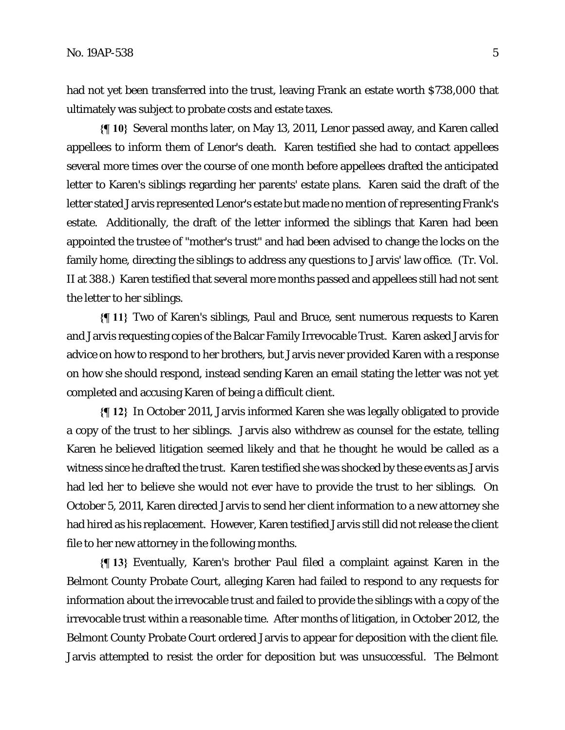had not yet been transferred into the trust, leaving Frank an estate worth \$738,000 that ultimately was subject to probate costs and estate taxes.

**{¶ 10}** Several months later, on May 13, 2011, Lenor passed away, and Karen called appellees to inform them of Lenor's death. Karen testified she had to contact appellees several more times over the course of one month before appellees drafted the anticipated letter to Karen's siblings regarding her parents' estate plans. Karen said the draft of the letter stated Jarvis represented Lenor's estate but made no mention of representing Frank's estate. Additionally, the draft of the letter informed the siblings that Karen had been appointed the trustee of "mother's trust" and had been advised to change the locks on the family home, directing the siblings to address any questions to Jarvis' law office. (Tr. Vol. II at 388.) Karen testified that several more months passed and appellees still had not sent the letter to her siblings.

**{¶ 11}** Two of Karen's siblings, Paul and Bruce, sent numerous requests to Karen and Jarvis requesting copies of the Balcar Family Irrevocable Trust. Karen asked Jarvis for advice on how to respond to her brothers, but Jarvis never provided Karen with a response on how she should respond, instead sending Karen an email stating the letter was not yet completed and accusing Karen of being a difficult client.

**{¶ 12}** In October 2011, Jarvis informed Karen she was legally obligated to provide a copy of the trust to her siblings. Jarvis also withdrew as counsel for the estate, telling Karen he believed litigation seemed likely and that he thought he would be called as a witness since he drafted the trust. Karen testified she was shocked by these events as Jarvis had led her to believe she would not ever have to provide the trust to her siblings. On October 5, 2011, Karen directed Jarvis to send her client information to a new attorney she had hired as his replacement. However, Karen testified Jarvis still did not release the client file to her new attorney in the following months.

**{¶ 13}** Eventually, Karen's brother Paul filed a complaint against Karen in the Belmont County Probate Court, alleging Karen had failed to respond to any requests for information about the irrevocable trust and failed to provide the siblings with a copy of the irrevocable trust within a reasonable time. After months of litigation, in October 2012, the Belmont County Probate Court ordered Jarvis to appear for deposition with the client file. Jarvis attempted to resist the order for deposition but was unsuccessful. The Belmont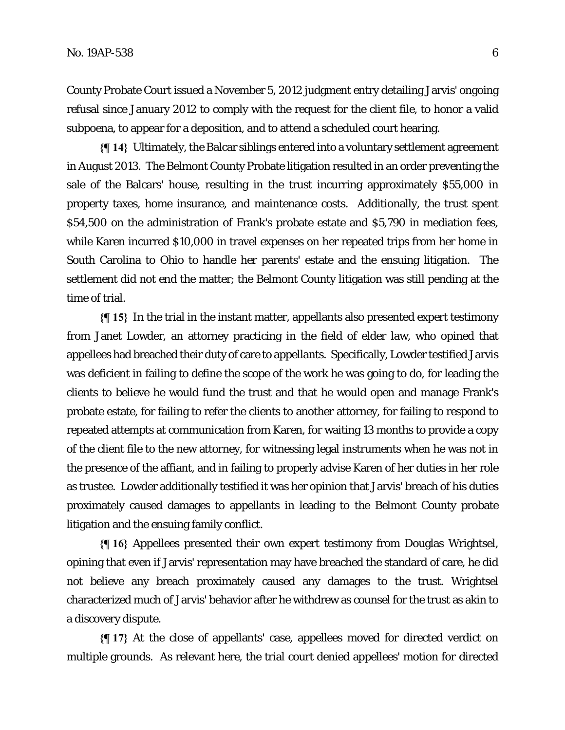County Probate Court issued a November 5, 2012 judgment entry detailing Jarvis' ongoing refusal since January 2012 to comply with the request for the client file, to honor a valid subpoena, to appear for a deposition, and to attend a scheduled court hearing.

**{¶ 14}** Ultimately, the Balcar siblings entered into a voluntary settlement agreement in August 2013. The Belmont County Probate litigation resulted in an order preventing the sale of the Balcars' house, resulting in the trust incurring approximately \$55,000 in property taxes, home insurance, and maintenance costs. Additionally, the trust spent \$54,500 on the administration of Frank's probate estate and \$5,790 in mediation fees, while Karen incurred \$10,000 in travel expenses on her repeated trips from her home in South Carolina to Ohio to handle her parents' estate and the ensuing litigation. The settlement did not end the matter; the Belmont County litigation was still pending at the time of trial.

**{¶ 15}** In the trial in the instant matter, appellants also presented expert testimony from Janet Lowder, an attorney practicing in the field of elder law, who opined that appellees had breached their duty of care to appellants. Specifically, Lowder testified Jarvis was deficient in failing to define the scope of the work he was going to do, for leading the clients to believe he would fund the trust and that he would open and manage Frank's probate estate, for failing to refer the clients to another attorney, for failing to respond to repeated attempts at communication from Karen, for waiting 13 months to provide a copy of the client file to the new attorney, for witnessing legal instruments when he was not in the presence of the affiant, and in failing to properly advise Karen of her duties in her role as trustee. Lowder additionally testified it was her opinion that Jarvis' breach of his duties proximately caused damages to appellants in leading to the Belmont County probate litigation and the ensuing family conflict.

**{¶ 16}** Appellees presented their own expert testimony from Douglas Wrightsel, opining that even if Jarvis' representation may have breached the standard of care, he did not believe any breach proximately caused any damages to the trust. Wrightsel characterized much of Jarvis' behavior after he withdrew as counsel for the trust as akin to a discovery dispute.

**{¶ 17}** At the close of appellants' case, appellees moved for directed verdict on multiple grounds. As relevant here, the trial court denied appellees' motion for directed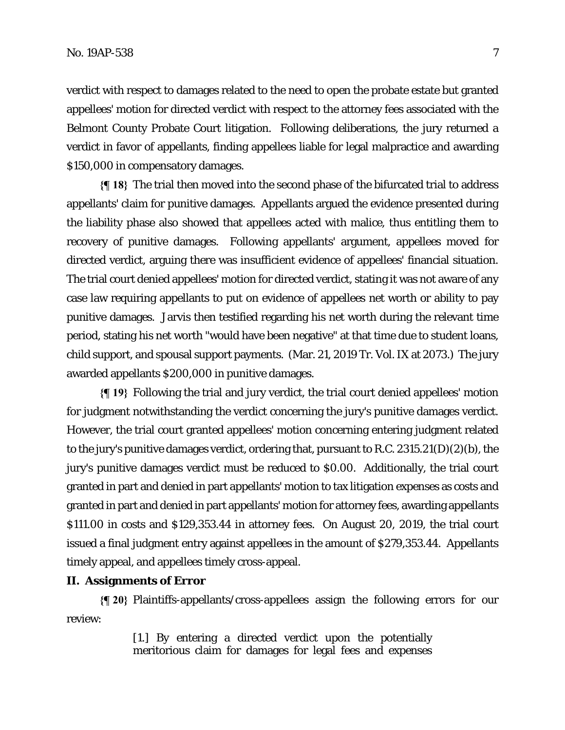verdict with respect to damages related to the need to open the probate estate but granted appellees' motion for directed verdict with respect to the attorney fees associated with the Belmont County Probate Court litigation. Following deliberations, the jury returned a verdict in favor of appellants, finding appellees liable for legal malpractice and awarding \$150,000 in compensatory damages.

**{¶ 18}** The trial then moved into the second phase of the bifurcated trial to address appellants' claim for punitive damages. Appellants argued the evidence presented during the liability phase also showed that appellees acted with malice, thus entitling them to recovery of punitive damages. Following appellants' argument, appellees moved for directed verdict, arguing there was insufficient evidence of appellees' financial situation. The trial court denied appellees' motion for directed verdict, stating it was not aware of any case law requiring appellants to put on evidence of appellees net worth or ability to pay punitive damages. Jarvis then testified regarding his net worth during the relevant time period, stating his net worth "would have been negative" at that time due to student loans, child support, and spousal support payments. (Mar. 21, 2019 Tr. Vol. IX at 2073.) The jury awarded appellants \$200,000 in punitive damages.

**{¶ 19}** Following the trial and jury verdict, the trial court denied appellees' motion for judgment notwithstanding the verdict concerning the jury's punitive damages verdict. However, the trial court granted appellees' motion concerning entering judgment related to the jury's punitive damages verdict, ordering that, pursuant to R.C. 2315.21(D)(2)(b), the jury's punitive damages verdict must be reduced to \$0.00. Additionally, the trial court granted in part and denied in part appellants' motion to tax litigation expenses as costs and granted in part and denied in part appellants' motion for attorney fees, awarding appellants \$111.00 in costs and \$129,353.44 in attorney fees. On August 20, 2019, the trial court issued a final judgment entry against appellees in the amount of \$279,353.44. Appellants timely appeal, and appellees timely cross-appeal.

### **II. Assignments of Error**

**{¶ 20}** Plaintiffs-appellants/cross-appellees assign the following errors for our review:

> [1.] By entering a directed verdict upon the potentially meritorious claim for damages for legal fees and expenses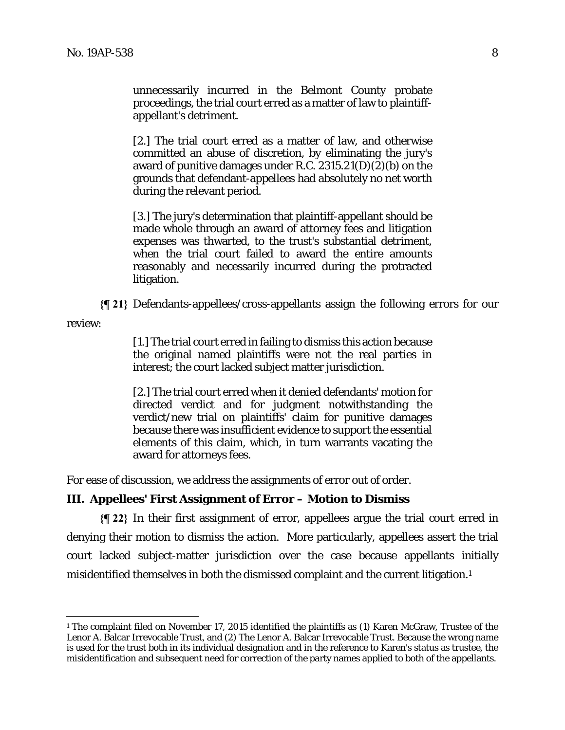unnecessarily incurred in the Belmont County probate proceedings, the trial court erred as a matter of law to plaintiffappellant's detriment.

[2.] The trial court erred as a matter of law, and otherwise committed an abuse of discretion, by eliminating the jury's award of punitive damages under R.C.  $2315.21(D)(2)(b)$  on the grounds that defendant-appellees had absolutely no net worth during the relevant period.

[3.] The jury's determination that plaintiff-appellant should be made whole through an award of attorney fees and litigation expenses was thwarted, to the trust's substantial detriment, when the trial court failed to award the entire amounts reasonably and necessarily incurred during the protracted litigation.

**{¶ 21}** Defendants-appellees/cross-appellants assign the following errors for our review:

<u>.</u>

[1.] The trial court erred in failing to dismiss this action because the original named plaintiffs were not the real parties in interest; the court lacked subject matter jurisdiction.

[2.] The trial court erred when it denied defendants' motion for directed verdict and for judgment notwithstanding the verdict/new trial on plaintiffs' claim for punitive damages because there was insufficient evidence to support the essential elements of this claim, which, in turn warrants vacating the award for attorneys fees.

For ease of discussion, we address the assignments of error out of order.

### **III. Appellees' First Assignment of Error – Motion to Dismiss**

**{¶ 22}** In their first assignment of error, appellees argue the trial court erred in denying their motion to dismiss the action. More particularly, appellees assert the trial court lacked subject-matter jurisdiction over the case because appellants initially misidentified themselves in both the dismissed complaint and the current litigation.1

<sup>1</sup> The complaint filed on November 17, 2015 identified the plaintiffs as (1) Karen McGraw, Trustee of the Lenor A. Balcar Irrevocable Trust, and (2) The Lenor A. Balcar Irrevocable Trust. Because the wrong name is used for the trust both in its individual designation and in the reference to Karen's status as trustee, the misidentification and subsequent need for correction of the party names applied to both of the appellants.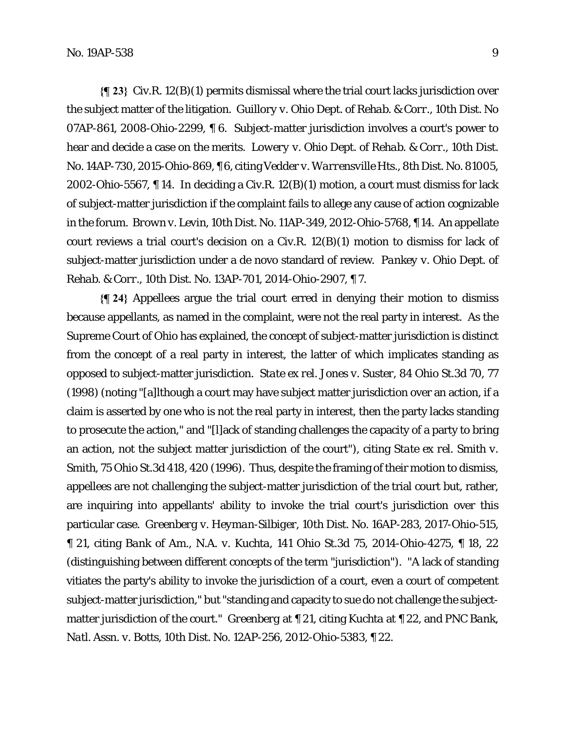**{¶ 23}** Civ.R. 12(B)(1) permits dismissal where the trial court lacks jurisdiction over the subject matter of the litigation. *Guillory v. Ohio Dept. of Rehab. & Corr.*, 10th Dist. No 07AP-861, 2008-Ohio-2299, ¶ 6. Subject-matter jurisdiction involves a court's power to hear and decide a case on the merits. *Lowery v. Ohio Dept. of Rehab. & Corr.*, 10th Dist. No. 14AP-730, 2015-Ohio-869, ¶ 6, citing *Vedder v. Warrensville Hts.*, 8th Dist. No. 81005, 2002-Ohio-5567, ¶ 14. In deciding a Civ.R. 12(B)(1) motion, a court must dismiss for lack of subject-matter jurisdiction if the complaint fails to allege any cause of action cognizable in the forum. *Brown v. Levin*, 10th Dist. No. 11AP-349, 2012-Ohio-5768, ¶ 14. An appellate court reviews a trial court's decision on a Civ.R. 12(B)(1) motion to dismiss for lack of subject-matter jurisdiction under a de novo standard of review. *Pankey v. Ohio Dept. of Rehab. & Corr.*, 10th Dist. No. 13AP-701, 2014-Ohio-2907, ¶ 7.

**{¶ 24}** Appellees argue the trial court erred in denying their motion to dismiss because appellants, as named in the complaint, were not the real party in interest. As the Supreme Court of Ohio has explained, the concept of subject-matter jurisdiction is distinct from the concept of a real party in interest, the latter of which implicates standing as opposed to subject-matter jurisdiction. *State ex rel. Jones v. Suster*, 84 Ohio St.3d 70, 77 (1998) (noting "[a]lthough a court may have subject matter jurisdiction over an action, if a claim is asserted by one who is not the real party in interest, then the party lacks standing to prosecute the action," and "[l]ack of standing challenges the capacity of a party to bring an action, not the subject matter jurisdiction of the court"), citing *State ex rel. Smith v. Smith*, 75 Ohio St.3d 418, 420 (1996). Thus, despite the framing of their motion to dismiss, appellees are not challenging the subject-matter jurisdiction of the trial court but, rather, are inquiring into appellants' ability to invoke the trial court's jurisdiction over this particular case. *Greenberg v. Heyman-Silbiger*, 10th Dist. No. 16AP-283, 2017-Ohio-515, ¶ 21, citing *Bank of Am., N.A. v. Kuchta*, 141 Ohio St.3d 75, 2014-Ohio-4275, ¶ 18, 22 (distinguishing between different concepts of the term "jurisdiction"). "A lack of standing vitiates the party's ability to invoke the jurisdiction of a court, even a court of competent subject-matter jurisdiction," but "standing and capacity to sue do not challenge the subjectmatter jurisdiction of the court." *Greenberg* at ¶ 21, citing *Kuchta* at ¶ 22, and *PNC Bank, Natl. Assn. v. Botts*, 10th Dist. No. 12AP-256, 2012-Ohio-5383, ¶ 22.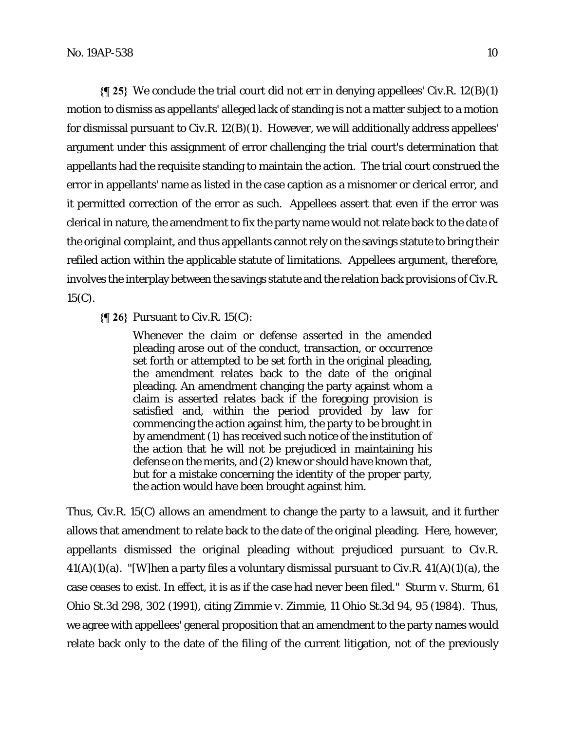**{¶ 25}** We conclude the trial court did not err in denying appellees' Civ.R. 12(B)(1) motion to dismiss as appellants' alleged lack of standing is not a matter subject to a motion for dismissal pursuant to Civ.R. 12(B)(1). However, we will additionally address appellees' argument under this assignment of error challenging the trial court's determination that appellants had the requisite standing to maintain the action. The trial court construed the error in appellants' name as listed in the case caption as a misnomer or clerical error, and it permitted correction of the error as such. Appellees assert that even if the error was clerical in nature, the amendment to fix the party name would not relate back to the date of the original complaint, and thus appellants cannot rely on the savings statute to bring their refiled action within the applicable statute of limitations. Appellees argument, therefore, involves the interplay between the savings statute and the relation back provisions of Civ.R. 15(C).

**{¶ 26}** Pursuant to Civ.R. 15(C):

Whenever the claim or defense asserted in the amended pleading arose out of the conduct, transaction, or occurrence set forth or attempted to be set forth in the original pleading, the amendment relates back to the date of the original pleading. An amendment changing the party against whom a claim is asserted relates back if the foregoing provision is satisfied and, within the period provided by law for commencing the action against him, the party to be brought in by amendment (1) has received such notice of the institution of the action that he will not be prejudiced in maintaining his defense on the merits, and (2) knew or should have known that. but for a mistake concerning the identity of the proper party, the action would have been brought against him.

Thus, Civ.R. 15(C) allows an amendment to change the party to a lawsuit, and it further allows that amendment to relate back to the date of the original pleading. Here, however, appellants dismissed the original pleading without prejudiced pursuant to Civ.R.  $41(A)(1)(a)$ . "[W]hen a party files a voluntary dismissal pursuant to Civ.R.  $41(A)(1)(a)$ , the case ceases to exist. In effect, it is as if the case had never been filed." *Sturm v. Sturm*, 61 Ohio St.3d 298, 302 (1991), citing *Zimmie v. Zimmie*, 11 Ohio St.3d 94, 95 (1984). Thus, we agree with appellees' general proposition that an amendment to the party names would relate back only to the date of the filing of the current litigation, not of the previously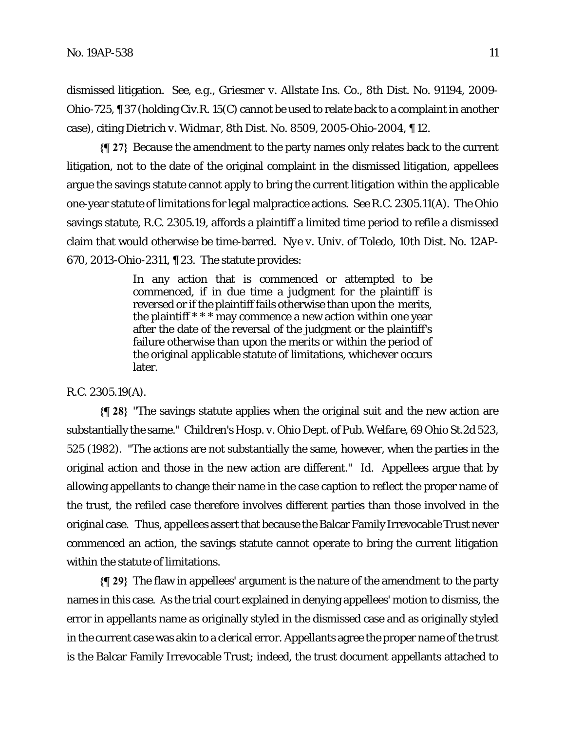dismissed litigation. *See, e.g., Griesmer v. Allstate Ins. Co.*, 8th Dist. No. 91194, 2009- Ohio-725, ¶ 37 (holding Civ.R. 15(C) cannot be used to relate back to a complaint in another case), citing *Dietrich v. Widmar*, 8th Dist. No. 8509, 2005-Ohio-2004, ¶ 12.

**{¶ 27}** Because the amendment to the party names only relates back to the current litigation, not to the date of the original complaint in the dismissed litigation, appellees argue the savings statute cannot apply to bring the current litigation within the applicable one-year statute of limitations for legal malpractice actions. *See* R.C. 2305.11(A). The Ohio savings statute, R.C. 2305.19, affords a plaintiff a limited time period to refile a dismissed claim that would otherwise be time-barred. *Nye v. Univ. of Toledo*, 10th Dist. No. 12AP-670, 2013-Ohio-2311, ¶ 23. The statute provides:

> In any action that is commenced or attempted to be commenced, if in due time a judgment for the plaintiff is reversed or if the plaintiff fails otherwise than upon the merits, the plaintiff \* \* \* may commence a new action within one year after the date of the reversal of the judgment or the plaintiff's failure otherwise than upon the merits or within the period of the original applicable statute of limitations, whichever occurs later.

#### R.C. 2305.19(A).

**{¶ 28}** "The savings statute applies when the original suit and the new action are substantially the same." *Children's Hosp. v. Ohio Dept. of Pub. Welfare*, 69 Ohio St.2d 523, 525 (1982). "The actions are not substantially the same, however, when the parties in the original action and those in the new action are different." *Id*. Appellees argue that by allowing appellants to change their name in the case caption to reflect the proper name of the trust, the refiled case therefore involves different parties than those involved in the original case. Thus, appellees assert that because the Balcar Family Irrevocable Trust never commenced an action, the savings statute cannot operate to bring the current litigation within the statute of limitations.

**{¶ 29}** The flaw in appellees' argument is the nature of the amendment to the party names in this case. As the trial court explained in denying appellees' motion to dismiss, the error in appellants name as originally styled in the dismissed case and as originally styled in the current case was akin to a clerical error. Appellants agree the proper name of the trust is the Balcar Family Irrevocable Trust; indeed, the trust document appellants attached to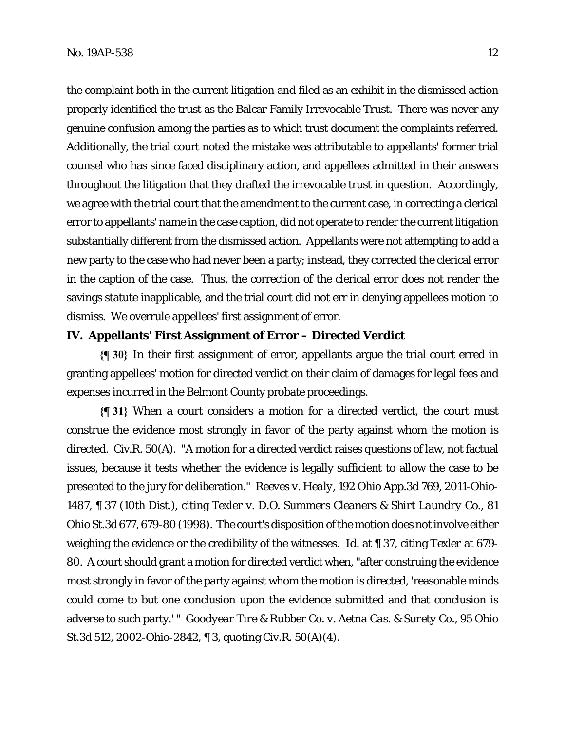the complaint both in the current litigation and filed as an exhibit in the dismissed action properly identified the trust as the Balcar Family Irrevocable Trust. There was never any genuine confusion among the parties as to which trust document the complaints referred. Additionally, the trial court noted the mistake was attributable to appellants' former trial counsel who has since faced disciplinary action, and appellees admitted in their answers throughout the litigation that they drafted the irrevocable trust in question. Accordingly, we agree with the trial court that the amendment to the current case, in correcting a clerical error to appellants' name in the case caption, did not operate to render the current litigation substantially different from the dismissed action. Appellants were not attempting to add a new party to the case who had never been a party; instead, they corrected the clerical error in the caption of the case. Thus, the correction of the clerical error does not render the savings statute inapplicable, and the trial court did not err in denying appellees motion to dismiss. We overrule appellees' first assignment of error.

## **IV. Appellants' First Assignment of Error – Directed Verdict**

**{¶ 30}** In their first assignment of error, appellants argue the trial court erred in granting appellees' motion for directed verdict on their claim of damages for legal fees and expenses incurred in the Belmont County probate proceedings.

**{¶ 31}** When a court considers a motion for a directed verdict, the court must construe the evidence most strongly in favor of the party against whom the motion is directed. Civ.R. 50(A). "A motion for a directed verdict raises questions of law, not factual issues, because it tests whether the evidence is legally sufficient to allow the case to be presented to the jury for deliberation." *Reeves v. Healy*, 192 Ohio App.3d 769, 2011-Ohio-1487, ¶ 37 (10th Dist.), citing *Texler v. D.O. Summers Cleaners & Shirt Laundry Co*., 81 Ohio St.3d 677, 679-80 (1998). The court's disposition of the motion does not involve either weighing the evidence or the credibility of the witnesses. *Id*. at ¶ 37, citing *Texler* at 679- 80. A court should grant a motion for directed verdict when, "after construing the evidence most strongly in favor of the party against whom the motion is directed, 'reasonable minds could come to but one conclusion upon the evidence submitted and that conclusion is adverse to such party.' " *Goodyear Tire & Rubber Co. v. Aetna Cas. & Surety Co.*, 95 Ohio St.3d 512, 2002-Ohio-2842, ¶ 3, quoting Civ.R. 50(A)(4).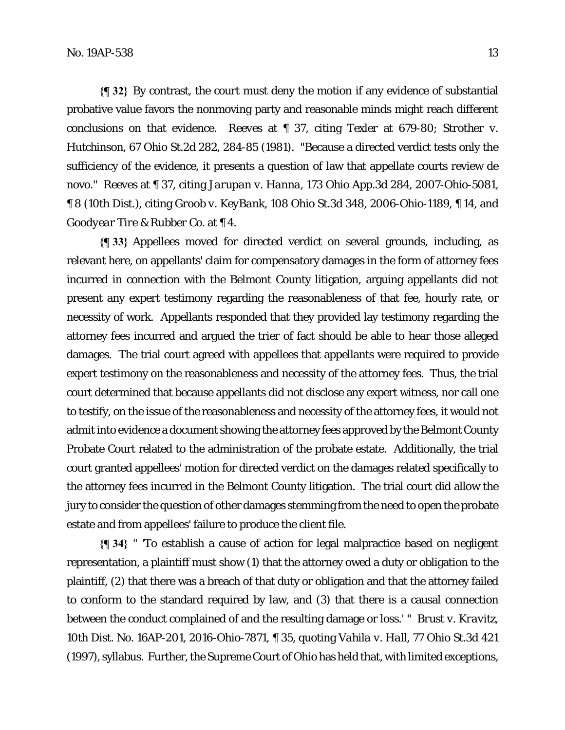**{¶ 32}** By contrast, the court must deny the motion if any evidence of substantial probative value favors the nonmoving party and reasonable minds might reach different conclusions on that evidence. *Reeves* at ¶ 37, citing *Texler* at 679-80; *Strother v. Hutchinson*, 67 Ohio St.2d 282, 284-85 (1981). "Because a directed verdict tests only the sufficiency of the evidence, it presents a question of law that appellate courts review de novo." *Reeves* at ¶ 37, citing *Jarupan v. Hanna*, 173 Ohio App.3d 284, 2007-Ohio-5081, ¶ 8 (10th Dist.), citing *Groob v. KeyBank*, 108 Ohio St.3d 348, 2006-Ohio-1189, ¶ 14, and *Goodyear Tire & Rubber Co.* at ¶ 4.

**{¶ 33}** Appellees moved for directed verdict on several grounds, including, as relevant here, on appellants' claim for compensatory damages in the form of attorney fees incurred in connection with the Belmont County litigation, arguing appellants did not present any expert testimony regarding the reasonableness of that fee, hourly rate, or necessity of work. Appellants responded that they provided lay testimony regarding the attorney fees incurred and argued the trier of fact should be able to hear those alleged damages. The trial court agreed with appellees that appellants were required to provide expert testimony on the reasonableness and necessity of the attorney fees. Thus, the trial court determined that because appellants did not disclose any expert witness, nor call one to testify, on the issue of the reasonableness and necessity of the attorney fees, it would not admit into evidence a document showing the attorney fees approved by the Belmont County Probate Court related to the administration of the probate estate. Additionally, the trial court granted appellees' motion for directed verdict on the damages related specifically to the attorney fees incurred in the Belmont County litigation. The trial court did allow the jury to consider the question of other damages stemming from the need to open the probate estate and from appellees' failure to produce the client file.

**{¶ 34}** " 'To establish a cause of action for legal malpractice based on negligent representation, a plaintiff must show (1) that the attorney owed a duty or obligation to the plaintiff, (2) that there was a breach of that duty or obligation and that the attorney failed to conform to the standard required by law, and (3) that there is a causal connection between the conduct complained of and the resulting damage or loss.' " *Brust v. Kravitz*, 10th Dist. No. 16AP-201, 2016-Ohio-7871, ¶ 35, quoting *Vahila v. Hall*, 77 Ohio St.3d 421 (1997), syllabus. Further, the Supreme Court of Ohio has held that, with limited exceptions,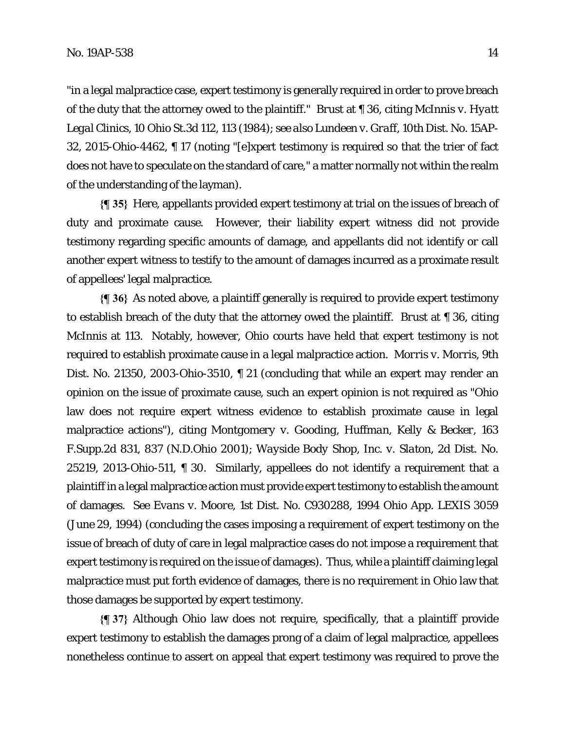"in a legal malpractice case, expert testimony is generally required in order to prove breach of the duty that the attorney owed to the plaintiff." *Brust* at ¶ 36, citing *McInnis v. Hyatt Legal Clinics*, 10 Ohio St.3d 112, 113 (1984); *see also Lundeen v. Graff*, 10th Dist. No. 15AP-32, 2015-Ohio-4462, ¶ 17 (noting "[e]xpert testimony is required so that the trier of fact does not have to speculate on the standard of care," a matter normally not within the realm of the understanding of the layman).

**{¶ 35}** Here, appellants provided expert testimony at trial on the issues of breach of duty and proximate cause. However, their liability expert witness did not provide testimony regarding specific amounts of damage, and appellants did not identify or call another expert witness to testify to the amount of damages incurred as a proximate result of appellees' legal malpractice.

**{¶ 36}** As noted above, a plaintiff generally is required to provide expert testimony to establish breach of the duty that the attorney owed the plaintiff. *Brust* at ¶ 36, citing *McInnis* at 113. Notably, however, Ohio courts have held that expert testimony is not required to establish proximate cause in a legal malpractice action. *Morris v. Morris*, 9th Dist. No. 21350, 2003-Ohio-3510, ¶ 21 (concluding that while an expert *may* render an opinion on the issue of proximate cause, such an expert opinion is not required as "Ohio law does not require expert witness evidence to establish proximate cause in legal malpractice actions"), citing *Montgomery v. Gooding, Huffman, Kelly & Becker*, 163 F.Supp.2d 831, 837 (N.D.Ohio 2001); *Wayside Body Shop, Inc. v. Slaton*, 2d Dist. No. 25219, 2013-Ohio-511, ¶ 30. Similarly, appellees do not identify a requirement that a plaintiff in a legal malpractice action must provide expert testimony to establish the amount of damages. *See Evans v. Moore*, 1st Dist. No. C930288, 1994 Ohio App. LEXIS 3059 (June 29, 1994) (concluding the cases imposing a requirement of expert testimony on the issue of breach of duty of care in legal malpractice cases *do not* impose a requirement that expert testimony is required on the issue of damages). Thus, while a plaintiff claiming legal malpractice must put forth evidence of damages, there is no requirement in Ohio law that those damages be supported by expert testimony.

**{¶ 37}** Although Ohio law does not require, specifically, that a plaintiff provide expert testimony to establish the damages prong of a claim of legal malpractice, appellees nonetheless continue to assert on appeal that expert testimony was required to prove the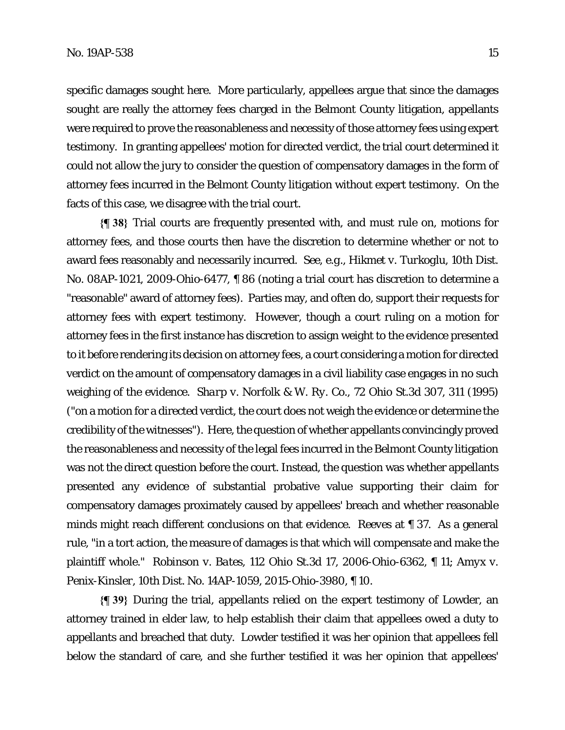specific damages sought here. More particularly, appellees argue that since the damages sought are really the attorney fees charged in the Belmont County litigation, appellants were required to prove the reasonableness and necessity of those attorney fees using expert testimony. In granting appellees' motion for directed verdict, the trial court determined it could not allow the jury to consider the question of compensatory damages in the form of attorney fees incurred in the Belmont County litigation without expert testimony. On the facts of this case, we disagree with the trial court.

**{¶ 38}** Trial courts are frequently presented with, and must rule on, motions for attorney fees, and those courts then have the discretion to determine whether or not to award fees reasonably and necessarily incurred. *See, e.g., Hikmet v. Turkoglu*, 10th Dist. No. 08AP-1021, 2009-Ohio-6477, ¶ 86 (noting a trial court has discretion to determine a "reasonable" award of attorney fees). Parties may, and often do, support their requests for attorney fees with expert testimony. However, though a court ruling on a motion for attorney fees *in the first instance* has discretion to assign weight to the evidence presented to it before rendering its decision on attorney fees, a court considering a motion for directed verdict on the amount of compensatory damages in a civil liability case engages in no such weighing of the evidence. *Sharp v. Norfolk & W. Ry. Co.,* 72 Ohio St.3d 307, 311 (1995) ("on a motion for a directed verdict, the court does not weigh the evidence or determine the credibility of the witnesses"). Here, the question of whether appellants convincingly proved the reasonableness and necessity of the legal fees incurred in the Belmont County litigation was not the direct question before the court. Instead, the question was whether appellants presented any evidence of substantial probative value supporting their claim for compensatory damages proximately caused by appellees' breach and whether reasonable minds might reach different conclusions on that evidence. *Reeves* at ¶ 37. As a general rule, "in a tort action, the measure of damages is that which will compensate and make the plaintiff whole." *Robinson v. Bates*, 112 Ohio St.3d 17, 2006-Ohio-6362, ¶ 11; *Amyx v. Penix-Kinsler*, 10th Dist. No. 14AP-1059, 2015-Ohio-3980, ¶ 10.

**{¶ 39}** During the trial, appellants relied on the expert testimony of Lowder, an attorney trained in elder law, to help establish their claim that appellees owed a duty to appellants and breached that duty. Lowder testified it was her opinion that appellees fell below the standard of care, and she further testified it was her opinion that appellees'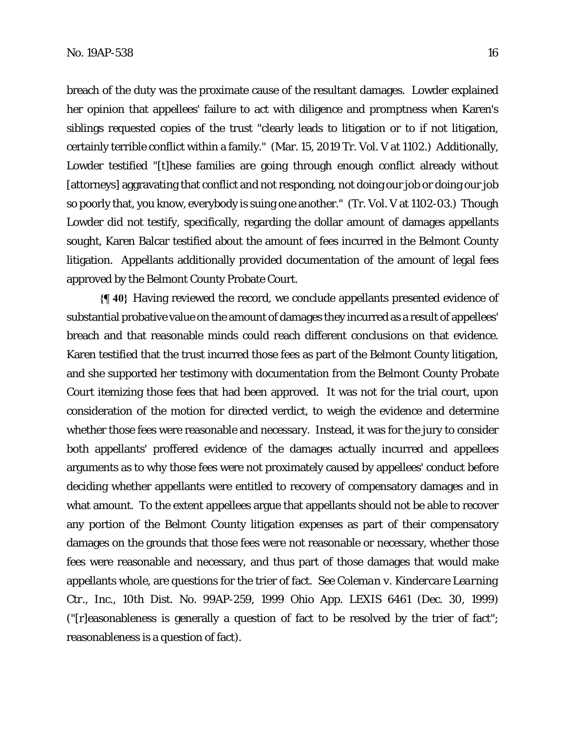breach of the duty was the proximate cause of the resultant damages. Lowder explained her opinion that appellees' failure to act with diligence and promptness when Karen's siblings requested copies of the trust "clearly leads to litigation or to if not litigation, certainly terrible conflict within a family." (Mar. 15, 2019 Tr. Vol. V at 1102.) Additionally, Lowder testified "[t]hese families are going through enough conflict already without [attorneys] aggravating that conflict and not responding, not doing our job or doing our job so poorly that, you know, everybody is suing one another." (Tr. Vol. V at 1102-03.) Though Lowder did not testify, specifically, regarding the dollar amount of damages appellants sought, Karen Balcar testified about the amount of fees incurred in the Belmont County litigation. Appellants additionally provided documentation of the amount of legal fees approved by the Belmont County Probate Court.

**{¶ 40}** Having reviewed the record, we conclude appellants presented evidence of substantial probative value on the amount of damages they incurred as a result of appellees' breach and that reasonable minds could reach different conclusions on that evidence. Karen testified that the trust incurred those fees as part of the Belmont County litigation, and she supported her testimony with documentation from the Belmont County Probate Court itemizing those fees that had been approved. It was not for the trial court, upon consideration of the motion for directed verdict, to weigh the evidence and determine whether those fees were reasonable and necessary. Instead, it was for the jury to consider both appellants' proffered evidence of the damages actually incurred and appellees arguments as to why those fees were not proximately caused by appellees' conduct before deciding whether appellants were entitled to recovery of compensatory damages and in what amount. To the extent appellees argue that appellants should not be able to recover any portion of the Belmont County litigation expenses as part of their compensatory damages on the grounds that those fees were not reasonable or necessary, whether those fees were reasonable and necessary, and thus part of those damages that would make appellants whole, are questions for the trier of fact. *See Coleman v. Kindercare Learning Ctr.*, *Inc.,* 10th Dist. No. 99AP-259, 1999 Ohio App. LEXIS 6461 (Dec. 30, 1999) ("[r]easonableness is generally a question of fact to be resolved by the trier of fact"; reasonableness is a question of fact).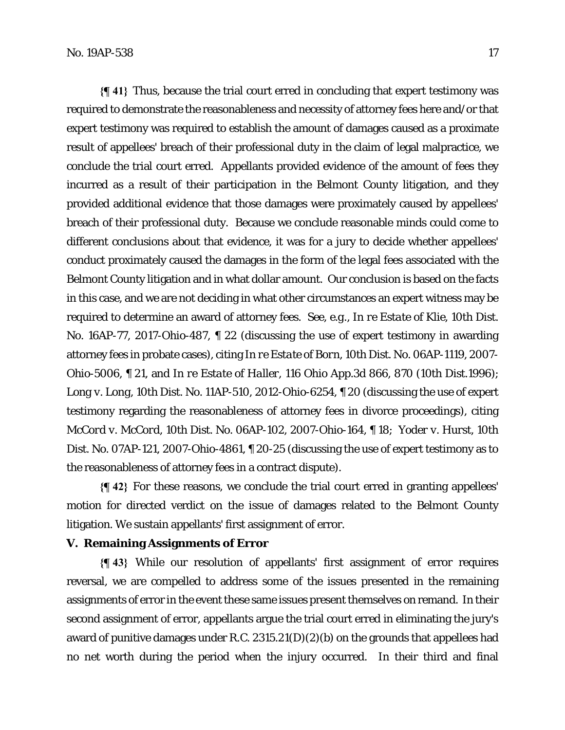**{¶ 41}** Thus, because the trial court erred in concluding that expert testimony was required to demonstrate the reasonableness and necessity of attorney fees here and/or that expert testimony was required to establish the amount of damages caused as a proximate result of appellees' breach of their professional duty in the claim of legal malpractice, we conclude the trial court erred. Appellants provided evidence of the amount of fees they incurred as a result of their participation in the Belmont County litigation, and they provided additional evidence that those damages were proximately caused by appellees' breach of their professional duty. Because we conclude reasonable minds could come to different conclusions about that evidence, it was for a jury to decide whether appellees' conduct proximately caused the damages in the form of the legal fees associated with the Belmont County litigation and in what dollar amount. Our conclusion is based on the facts in this case, and we are not deciding in what other circumstances an expert witness may be required to determine an award of attorney fees. *See, e.g., In re Estate of Klie*, 10th Dist. No. 16AP-77, 2017-Ohio-487, ¶ 22 (discussing the use of expert testimony in awarding attorney fees in probate cases), citing *In re Estate of Born*, 10th Dist. No. 06AP-1119, 2007- Ohio-5006, ¶ 21, and *In re Estate of Haller*, 116 Ohio App.3d 866, 870 (10th Dist.1996); *Long v. Long*, 10th Dist. No. 11AP-510, 2012-Ohio-6254, ¶ 20 (discussing the use of expert testimony regarding the reasonableness of attorney fees in divorce proceedings), citing *McCord v. McCord*, 10th Dist. No. 06AP-102, 2007-Ohio-164, ¶ 18; *Yoder v. Hurst*, 10th Dist. No. 07AP-121, 2007-Ohio-4861, ¶ 20-25 (discussing the use of expert testimony as to the reasonableness of attorney fees in a contract dispute).

**{¶ 42}** For these reasons, we conclude the trial court erred in granting appellees' motion for directed verdict on the issue of damages related to the Belmont County litigation. We sustain appellants' first assignment of error.

## **V. Remaining Assignments of Error**

**{¶ 43}** While our resolution of appellants' first assignment of error requires reversal, we are compelled to address some of the issues presented in the remaining assignments of error in the event these same issues present themselves on remand. In their second assignment of error, appellants argue the trial court erred in eliminating the jury's award of punitive damages under R.C. 2315.21(D)(2)(b) on the grounds that appellees had no net worth during the period when the injury occurred. In their third and final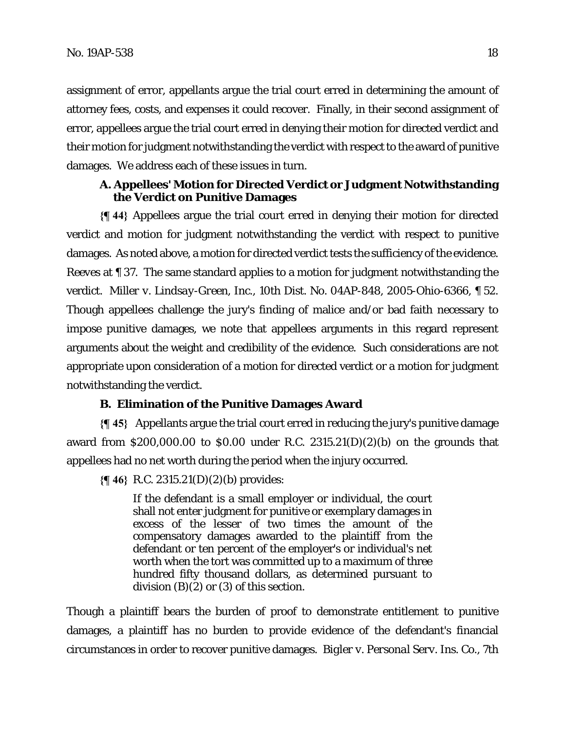assignment of error, appellants argue the trial court erred in determining the amount of attorney fees, costs, and expenses it could recover. Finally, in their second assignment of error, appellees argue the trial court erred in denying their motion for directed verdict and their motion for judgment notwithstanding the verdict with respect to the award of punitive damages. We address each of these issues in turn.

## **A. Appellees' Motion for Directed Verdict or Judgment Notwithstanding the Verdict on Punitive Damages**

**{¶ 44}** Appellees argue the trial court erred in denying their motion for directed verdict and motion for judgment notwithstanding the verdict with respect to punitive damages. As noted above, a motion for directed verdict tests the sufficiency of the evidence. *Reeves* at ¶ 37. The same standard applies to a motion for judgment notwithstanding the verdict. *Miller v. Lindsay-Green, Inc.*, 10th Dist. No. 04AP-848, 2005-Ohio-6366, ¶ 52. Though appellees challenge the jury's finding of malice and/or bad faith necessary to impose punitive damages, we note that appellees arguments in this regard represent arguments about the weight and credibility of the evidence. Such considerations are not appropriate upon consideration of a motion for directed verdict or a motion for judgment notwithstanding the verdict.

#### **B. Elimination of the Punitive Damages Award**

**{¶ 45}** Appellants argue the trial court erred in reducing the jury's punitive damage award from \$200,000.00 to \$0.00 under R.C.  $2315.21(D)(2)(b)$  on the grounds that appellees had no net worth during the period when the injury occurred.

**{¶ 46}** R.C. 2315.21(D)(2)(b) provides:

If the defendant is a small employer or individual, the court shall not enter judgment for punitive or exemplary damages in excess of the lesser of two times the amount of the compensatory damages awarded to the plaintiff from the defendant or ten percent of the employer's or individual's net worth when the tort was committed up to a maximum of three hundred fifty thousand dollars, as determined pursuant to division  $(B)(\tilde{Z})$  or  $(3)$  of this section.

Though a plaintiff bears the burden of proof to demonstrate entitlement to punitive damages, a plaintiff has no burden to provide evidence of the defendant's financial circumstances in order to recover punitive damages. *Bigler v. Personal Serv. Ins. Co.*, 7th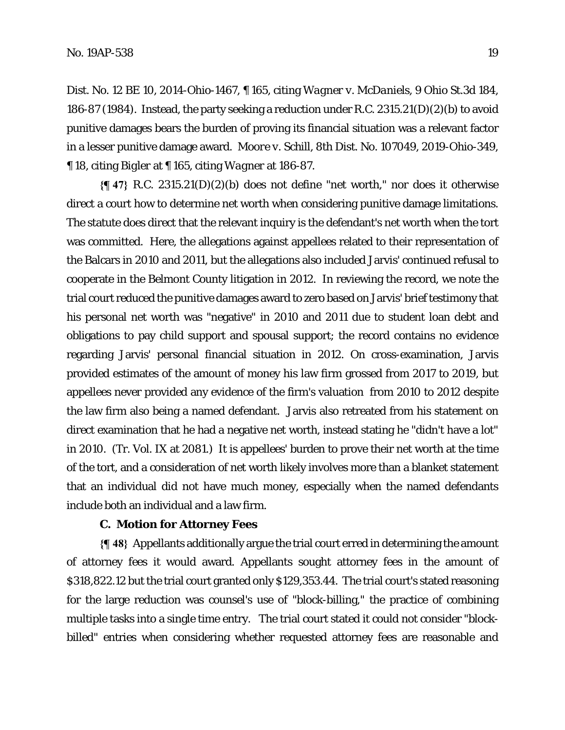Dist. No. 12 BE 10, 2014-Ohio-1467, ¶ 165, citing *Wagner v. McDaniels*, 9 Ohio St.3d 184, 186-87 (1984). Instead, the party seeking a reduction under R.C. 2315.21(D)(2)(b) to avoid punitive damages bears the burden of proving its financial situation was a relevant factor in a lesser punitive damage award. *Moore v. Schill*, 8th Dist. No. 107049, 2019-Ohio-349, ¶ 18, citing *Bigler* at ¶ 165, citing *Wagner* at 186-87.

**{¶ 47}** R.C. 2315.21(D)(2)(b) does not define "net worth," nor does it otherwise direct a court how to determine net worth when considering punitive damage limitations. The statute does direct that the relevant inquiry is the defendant's net worth when the tort was committed. Here, the allegations against appellees related to their representation of the Balcars in 2010 and 2011, but the allegations also included Jarvis' continued refusal to cooperate in the Belmont County litigation in 2012. In reviewing the record, we note the trial court reduced the punitive damages award to zero based on Jarvis' brief testimony that his personal net worth was "negative" in 2010 and 2011 due to student loan debt and obligations to pay child support and spousal support; the record contains no evidence regarding Jarvis' personal financial situation in 2012. On cross-examination, Jarvis provided estimates of the amount of money his law firm grossed from 2017 to 2019, but appellees never provided any evidence of the firm's valuation from 2010 to 2012 despite the law firm also being a named defendant. Jarvis also retreated from his statement on direct examination that he had a negative net worth, instead stating he "didn't have a lot" in 2010. (Tr. Vol. IX at 2081.) It is appellees' burden to prove their net worth at the time of the tort, and a consideration of net worth likely involves more than a blanket statement that an individual did not have much money, especially when the named defendants include both an individual and a law firm.

#### **C. Motion for Attorney Fees**

**{¶ 48}** Appellants additionally argue the trial court erred in determining the amount of attorney fees it would award. Appellants sought attorney fees in the amount of \$318,822.12 but the trial court granted only \$129,353.44. The trial court's stated reasoning for the large reduction was counsel's use of "block-billing," the practice of combining multiple tasks into a single time entry. The trial court stated it could not consider "blockbilled" entries when considering whether requested attorney fees are reasonable and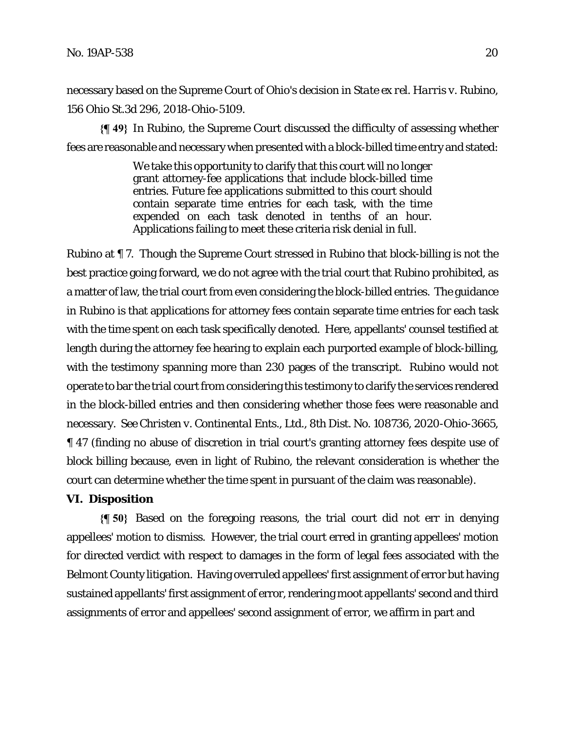necessary based on the Supreme Court of Ohio's decision in *State ex rel. Harris v. Rubino*, 156 Ohio St.3d 296, 2018-Ohio-5109.

**{¶ 49}** In *Rubino*, the Supreme Court discussed the difficulty of assessing whether fees are reasonable and necessary when presented with a block-billed time entry and stated:

> We take this opportunity to clarify that this court will no longer grant attorney-fee applications that include block-billed time entries. Future fee applications submitted to this court should contain separate time entries for each task, with the time expended on each task denoted in tenths of an hour. Applications failing to meet these criteria risk denial in full.

*Rubino* at ¶ 7. Though the Supreme Court stressed in *Rubino* that block-billing is not the best practice going forward, we do not agree with the trial court that *Rubino* prohibited, as a matter of law, the trial court from even considering the block-billed entries. The guidance in *Rubino* is that applications for attorney fees contain separate time entries for each task with the time spent on each task specifically denoted. Here, appellants' counsel testified at length during the attorney fee hearing to explain each purported example of block-billing, with the testimony spanning more than 230 pages of the transcript. *Rubino* would not operate to bar the trial court from considering this testimony to clarify the services rendered in the block-billed entries and then considering whether those fees were reasonable and necessary. *See Christen v. Continental Ents*.*, Ltd.*, 8th Dist. No. 108736, 2020-Ohio-3665, ¶ 47 (finding no abuse of discretion in trial court's granting attorney fees despite use of block billing because, even in light of *Rubino*, the relevant consideration is whether the court can determine whether the time spent in pursuant of the claim was reasonable).

# **VI. Disposition**

**{¶ 50}** Based on the foregoing reasons, the trial court did not err in denying appellees' motion to dismiss. However, the trial court erred in granting appellees' motion for directed verdict with respect to damages in the form of legal fees associated with the Belmont County litigation. Having overruled appellees' first assignment of error but having sustained appellants' first assignment of error, rendering moot appellants' second and third assignments of error and appellees' second assignment of error, we affirm in part and